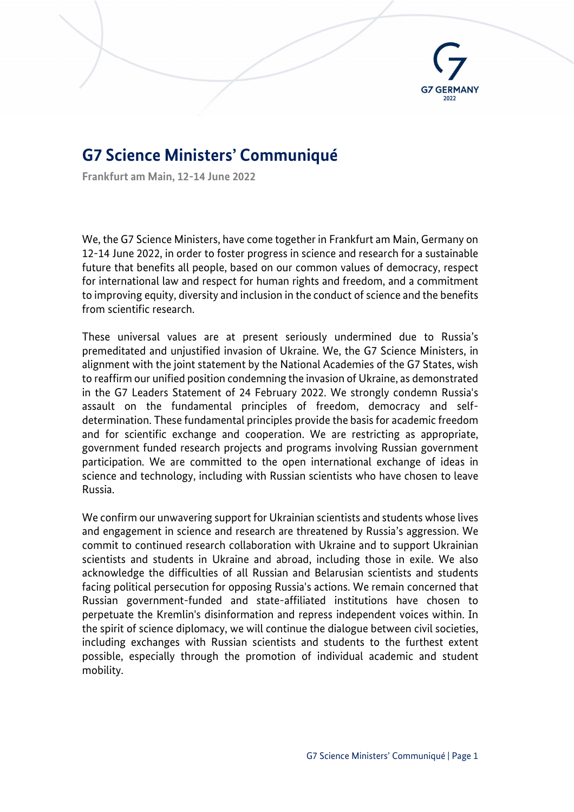

# **G7 Science Ministers' Communiqué**

**Frankfurt am Main, 12-14 June 2022**

We, the G7 Science Ministers, have come together in Frankfurt am Main, Germany on 12-14 June 2022, in order to foster progress in science and research for a sustainable future that benefits all people, based on our common values of democracy, respect for international law and respect for human rights and freedom, and a commitment to improving equity, diversity and inclusion in the conduct of science and the benefits from scientific research.

These universal values are at present seriously undermined due to Russia's premeditated and unjustified invasion of Ukraine. We, the G7 Science Ministers, in alignment with the joint statement by the National Academies of the G7 States, wish to reaffirm our unified position condemning the invasion of Ukraine, as demonstrated in the G7 Leaders Statement of 24 February 2022. We strongly condemn Russia's assault on the fundamental principles of freedom, democracy and selfdetermination. These fundamental principles provide the basis for academic freedom and for scientific exchange and cooperation. We are restricting as appropriate, government funded research projects and programs involving Russian government participation. We are committed to the open international exchange of ideas in science and technology, including with Russian scientists who have chosen to leave Russia.

We confirm our unwavering support for Ukrainian scientists and students whose lives and engagement in science and research are threatened by Russia's aggression. We commit to continued research collaboration with Ukraine and to support Ukrainian scientists and students in Ukraine and abroad, including those in exile. We also acknowledge the difficulties of all Russian and Belarusian scientists and students facing political persecution for opposing Russia's actions. We remain concerned that Russian government-funded and state-affiliated institutions have chosen to perpetuate the Kremlin's disinformation and repress independent voices within. In the spirit of science diplomacy, we will continue the dialogue between civil societies, including exchanges with Russian scientists and students to the furthest extent possible, especially through the promotion of individual academic and student mobility.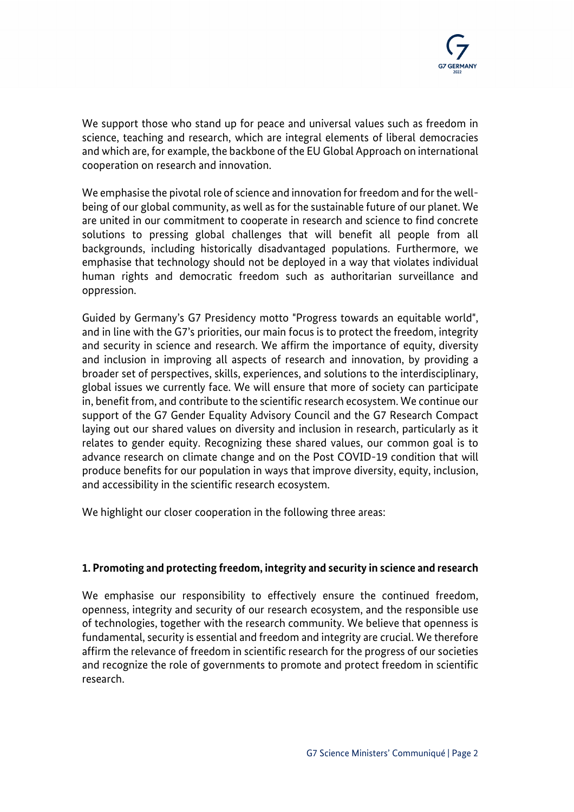We support those who stand up for peace and universal values such as freedom in science, teaching and research, which are integral elements of liberal democracies and which are, for example, the backbone of the EU Global Approach on international cooperation on research and innovation.

We emphasise the pivotal role of science and innovation for freedom and for the wellbeing of our global community, as well as for the sustainable future of our planet. We are united in our commitment to cooperate in research and science to find concrete solutions to pressing global challenges that will benefit all people from all backgrounds, including historically disadvantaged populations. Furthermore, we emphasise that technology should not be deployed in a way that violates individual human rights and democratic freedom such as authoritarian surveillance and oppression.

Guided by Germany's G7 Presidency motto "Progress towards an equitable world", and in line with the G7's priorities, our main focus is to protect the freedom, integrity and security in science and research. We affirm the importance of equity, diversity and inclusion in improving all aspects of research and innovation, by providing a broader set of perspectives, skills, experiences, and solutions to the interdisciplinary, global issues we currently face. We will ensure that more of society can participate in, benefit from, and contribute to the scientific research ecosystem. We continue our support of the G7 Gender Equality Advisory Council and the G7 Research Compact laying out our shared values on diversity and inclusion in research, particularly as it relates to gender equity. Recognizing these shared values, our common goal is to advance research on climate change and on the Post COVID-19 condition that will produce benefits for our population in ways that improve diversity, equity, inclusion, and accessibility in the scientific research ecosystem.

We highlight our closer cooperation in the following three areas:

## **1. Promoting and protecting freedom, integrity and security in science and research**

We emphasise our responsibility to effectively ensure the continued freedom, openness, integrity and security of our research ecosystem, and the responsible use of technologies, together with the research community. We believe that openness is fundamental, security is essential and freedom and integrity are crucial. We therefore affirm the relevance of freedom in scientific research for the progress of our societies and recognize the role of governments to promote and protect freedom in scientific research.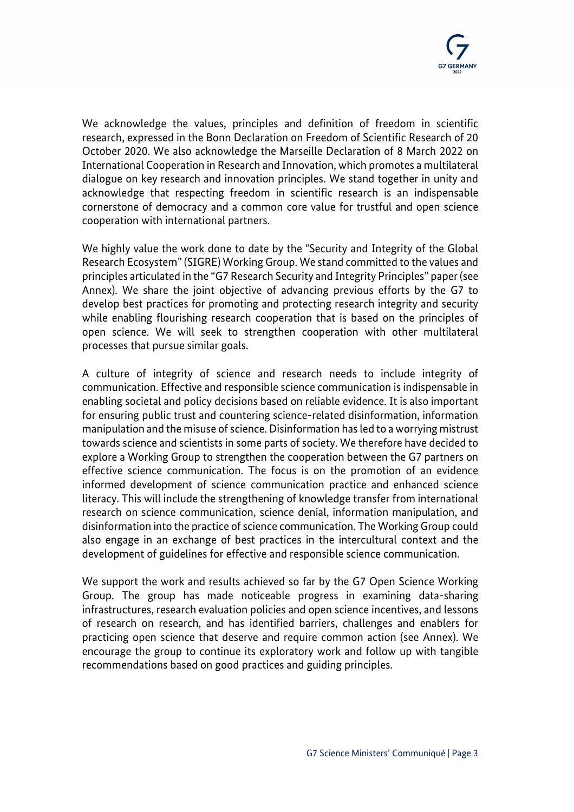

We acknowledge the values, principles and definition of freedom in scientific research, expressed in the Bonn Declaration on Freedom of Scientific Research of 20 October 2020. We also acknowledge the Marseille Declaration of 8 March 2022 on International Cooperation in Research and Innovation, which promotes a multilateral dialogue on key research and innovation principles. We stand together in unity and acknowledge that respecting freedom in scientific research is an indispensable cornerstone of democracy and a common core value for trustful and open science cooperation with international partners.

We highly value the work done to date by the "Security and Integrity of the Global Research Ecosystem" (SIGRE) Working Group. We stand committed to the values and principles articulated in the "G7 Research Security and Integrity Principles" paper (see Annex). We share the joint objective of advancing previous efforts by the G7 to develop best practices for promoting and protecting research integrity and security while enabling flourishing research cooperation that is based on the principles of open science. We will seek to strengthen cooperation with other multilateral processes that pursue similar goals.

A culture of integrity of science and research needs to include integrity of communication. Effective and responsible science communication is indispensable in enabling societal and policy decisions based on reliable evidence. It is also important for ensuring public trust and countering science-related disinformation, information manipulation and the misuse of science. Disinformation has led to a worrying mistrust towards science and scientists in some parts of society. We therefore have decided to explore a Working Group to strengthen the cooperation between the G7 partners on effective science communication. The focus is on the promotion of an evidence informed development of science communication practice and enhanced science literacy. This will include the strengthening of knowledge transfer from international research on science communication, science denial, information manipulation, and disinformation into the practice of science communication. The Working Group could also engage in an exchange of best practices in the intercultural context and the development of guidelines for effective and responsible science communication.

We support the work and results achieved so far by the G7 Open Science Working Group. The group has made noticeable progress in examining data-sharing infrastructures, research evaluation policies and open science incentives, and lessons of research on research, and has identified barriers, challenges and enablers for practicing open science that deserve and require common action (see Annex). We encourage the group to continue its exploratory work and follow up with tangible recommendations based on good practices and guiding principles.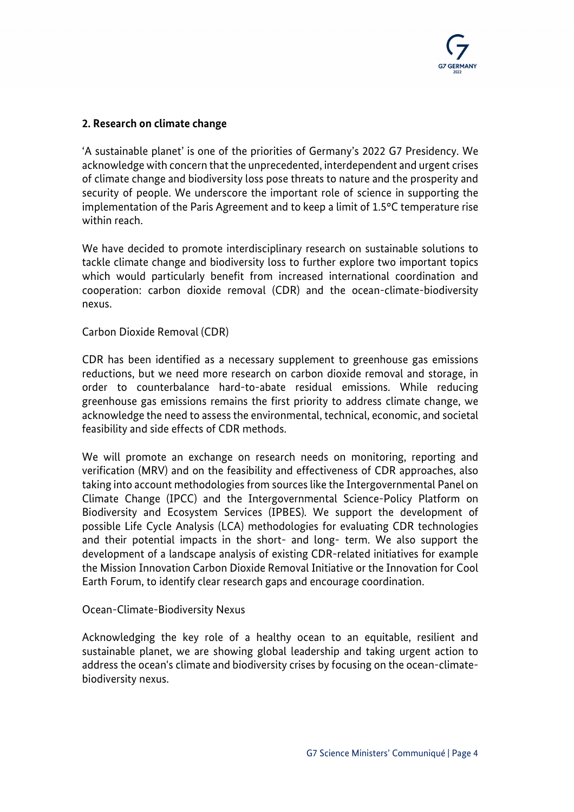

## **2. Research on climate change**

'A sustainable planet' is one of the priorities of Germany's 2022 G7 Presidency. We acknowledge with concern that the unprecedented, interdependent and urgent crises of climate change and biodiversity loss pose threats to nature and the prosperity and security of people. We underscore the important role of science in supporting the implementation of the Paris Agreement and to keep a limit of 1.5°C temperature rise within reach.

We have decided to promote interdisciplinary research on sustainable solutions to tackle climate change and biodiversity loss to further explore two important topics which would particularly benefit from increased international coordination and cooperation: carbon dioxide removal (CDR) and the ocean-climate-biodiversity nexus.

#### Carbon Dioxide Removal (CDR)

CDR has been identified as a necessary supplement to greenhouse gas emissions reductions, but we need more research on carbon dioxide removal and storage, in order to counterbalance hard-to-abate residual emissions. While reducing greenhouse gas emissions remains the first priority to address climate change, we acknowledge the need to assess the environmental, technical, economic, and societal feasibility and side effects of CDR methods.

We will promote an exchange on research needs on monitoring, reporting and verification (MRV) and on the feasibility and effectiveness of CDR approaches, also taking into account methodologies from sources like the Intergovernmental Panel on Climate Change (IPCC) and the Intergovernmental Science-Policy Platform on Biodiversity and Ecosystem Services (IPBES). We support the development of possible Life Cycle Analysis (LCA) methodologies for evaluating CDR technologies and their potential impacts in the short- and long- term. We also support the development of a landscape analysis of existing CDR-related initiatives for example the Mission Innovation Carbon Dioxide Removal Initiative or the Innovation for Cool Earth Forum, to identify clear research gaps and encourage coordination.

#### Ocean-Climate-Biodiversity Nexus

Acknowledging the key role of a healthy ocean to an equitable, resilient and sustainable planet, we are showing global leadership and taking urgent action to address the ocean's climate and biodiversity crises by focusing on the ocean-climatebiodiversity nexus.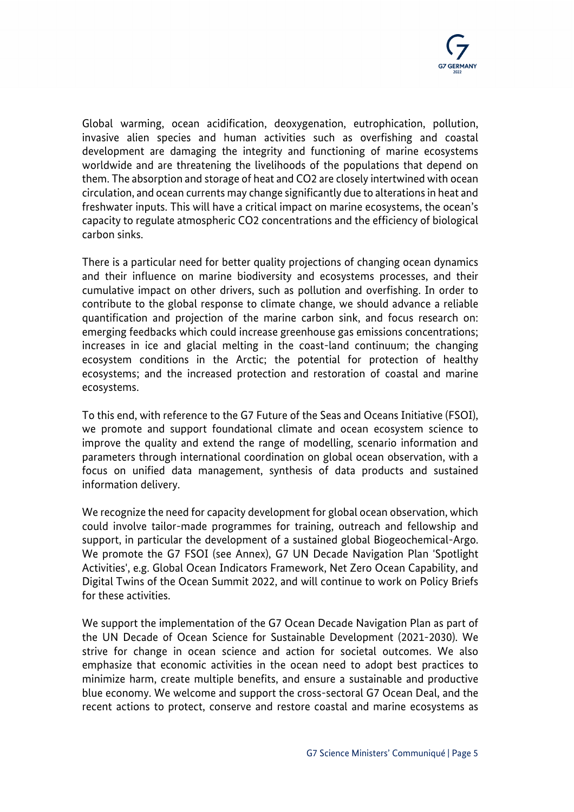Global warming, ocean acidification, deoxygenation, eutrophication, pollution, invasive alien species and human activities such as overfishing and coastal development are damaging the integrity and functioning of marine ecosystems worldwide and are threatening the livelihoods of the populations that depend on them. The absorption and storage of heat and CO2 are closely intertwined with ocean circulation, and ocean currents may change significantly due to alterations in heat and freshwater inputs. This will have a critical impact on marine ecosystems, the ocean's capacity to regulate atmospheric CO2 concentrations and the efficiency of biological carbon sinks.

There is a particular need for better quality projections of changing ocean dynamics and their influence on marine biodiversity and ecosystems processes, and their cumulative impact on other drivers, such as pollution and overfishing. In order to contribute to the global response to climate change, we should advance a reliable quantification and projection of the marine carbon sink, and focus research on: emerging feedbacks which could increase greenhouse gas emissions concentrations; increases in ice and glacial melting in the coast-land continuum; the changing ecosystem conditions in the Arctic; the potential for protection of healthy ecosystems; and the increased protection and restoration of coastal and marine ecosystems.

To this end, with reference to the G7 Future of the Seas and Oceans Initiative (FSOI), we promote and support foundational climate and ocean ecosystem science to improve the quality and extend the range of modelling, scenario information and parameters through international coordination on global ocean observation, with a focus on unified data management, synthesis of data products and sustained information delivery.

We recognize the need for capacity development for global ocean observation, which could involve tailor-made programmes for training, outreach and fellowship and support, in particular the development of a sustained global Biogeochemical-Argo. We promote the G7 FSOI (see Annex), G7 UN Decade Navigation Plan 'Spotlight Activities', e.g. Global Ocean Indicators Framework, Net Zero Ocean Capability, and Digital Twins of the Ocean Summit 2022, and will continue to work on Policy Briefs for these activities.

We support the implementation of the G7 Ocean Decade Navigation Plan as part of the UN Decade of Ocean Science for Sustainable Development (2021-2030). We strive for change in ocean science and action for societal outcomes. We also emphasize that economic activities in the ocean need to adopt best practices to minimize harm, create multiple benefits, and ensure a sustainable and productive blue economy. We welcome and support the cross-sectoral G7 Ocean Deal, and the recent actions to protect, conserve and restore coastal and marine ecosystems as